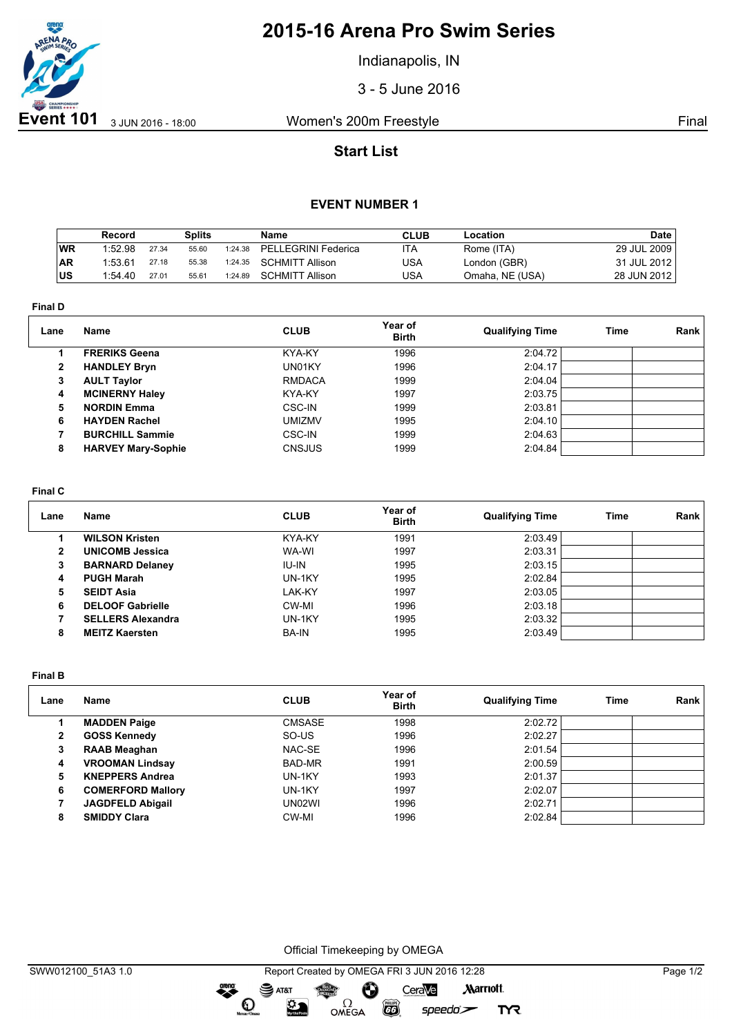

# **2015-16 Arena Pro Swim Series**

Indianapolis, IN

3 - 5 June 2016

## **Start List**

### **EVENT NUMBER 1**

|            | Record  |       | Splits |         | Name                   | <b>CLUB</b> | Location        | Date        |
|------------|---------|-------|--------|---------|------------------------|-------------|-----------------|-------------|
| WR         | 1:52.98 | 27.34 | 55.60  | 1:24.38 | PELLEGRINI Federica    | ITA         | Rome (ITA)      | 29 JUL 2009 |
| <b>AR</b>  | 1:53.61 | 27.18 | 55.38  | 1:24.35 | <b>SCHMITT Allison</b> | USA         | London (GBR)    | 31 JUL 2012 |
| <b>IUS</b> | 1:54.40 | 27.01 | 55.61  | 1:24.89 | <b>SCHMITT Allison</b> | USA         | Omaha, NE (USA) | 28 JUN 2012 |

**Final D**

| Lane         | Name                      | <b>CLUB</b>   | Year of<br><b>Birth</b> | <b>Qualifying Time</b> | Time | <b>Rank</b> |
|--------------|---------------------------|---------------|-------------------------|------------------------|------|-------------|
|              | <b>FRERIKS Geena</b>      | KYA-KY        | 1996                    | 2:04.72                |      |             |
| $\mathbf{2}$ | <b>HANDLEY Bryn</b>       | UN01KY        | 1996                    | 2:04.17                |      |             |
| 3            | <b>AULT Taylor</b>        | <b>RMDACA</b> | 1999                    | 2:04.04                |      |             |
| 4            | <b>MCINERNY Haley</b>     | KYA-KY        | 1997                    | 2:03.75                |      |             |
| 5            | <b>NORDIN Emma</b>        | <b>CSC-IN</b> | 1999                    | 2:03.81                |      |             |
| 6            | <b>HAYDEN Rachel</b>      | <b>UMIZMV</b> | 1995                    | 2:04.10                |      |             |
|              | <b>BURCHILL Sammie</b>    | CSC-IN        | 1999                    | 2:04.63                |      |             |
| 8            | <b>HARVEY Mary-Sophie</b> | <b>CNSJUS</b> | 1999                    | 2:04.84                |      |             |

#### **Final C**

| Lane         | Name                     | <b>CLUB</b>  | Year of<br><b>Birth</b> | <b>Qualifying Time</b> | Time | Rank |
|--------------|--------------------------|--------------|-------------------------|------------------------|------|------|
|              | <b>WILSON Kristen</b>    | KYA-KY       | 1991                    | 2:03.49                |      |      |
| $\mathbf{2}$ | <b>UNICOMB Jessica</b>   | WA-WI        | 1997                    | 2:03.31                |      |      |
| 3            | <b>BARNARD Delaney</b>   | IU-IN        | 1995                    | 2:03.15                |      |      |
| 4            | <b>PUGH Marah</b>        | UN-1KY       | 1995                    | 2:02.84                |      |      |
| 5            | <b>SEIDT Asia</b>        | LAK-KY       | 1997                    | 2:03.05                |      |      |
| 6            | <b>DELOOF Gabrielle</b>  | CW-MI        | 1996                    | 2:03.18                |      |      |
|              | <b>SELLERS Alexandra</b> | UN-1KY       | 1995                    | 2:03.32                |      |      |
| 8            | <b>MEITZ Kaersten</b>    | <b>BA-IN</b> | 1995                    | 2:03.49                |      |      |

**Final B**

| Lane | <b>Name</b>              | <b>CLUB</b>   | Year of<br><b>Birth</b> | <b>Qualifying Time</b> | Time | Rank |
|------|--------------------------|---------------|-------------------------|------------------------|------|------|
|      | <b>MADDEN Paige</b>      | <b>CMSASE</b> | 1998                    | 2:02.72                |      |      |
| 2    | <b>GOSS Kennedy</b>      | SO-US         | 1996                    | 2:02.27                |      |      |
| 3    | <b>RAAB Meaghan</b>      | NAC-SE        | 1996                    | 2:01.54                |      |      |
| 4    | <b>VROOMAN Lindsay</b>   | BAD-MR        | 1991                    | 2:00.59                |      |      |
| 5    | <b>KNEPPERS Andrea</b>   | UN-1KY        | 1993                    | 2:01.37                |      |      |
| 6    | <b>COMERFORD Mallory</b> | UN-1KY        | 1997                    | 2:02.07                |      |      |
|      | <b>JAGDFELD Abigail</b>  | UN02WI        | 1996                    | 2:02.71                |      |      |
| 8    | <b>SMIDDY Clara</b>      | CW-MI         | 1996                    | 2:02.84                |      |      |

Official Timekeeping by OMEGA

**CO** 

 $speedo$ 

**TYR** 

OMEGA

dreng:

 $\mathbf{O}$ 

 $\mathfrak{D}$